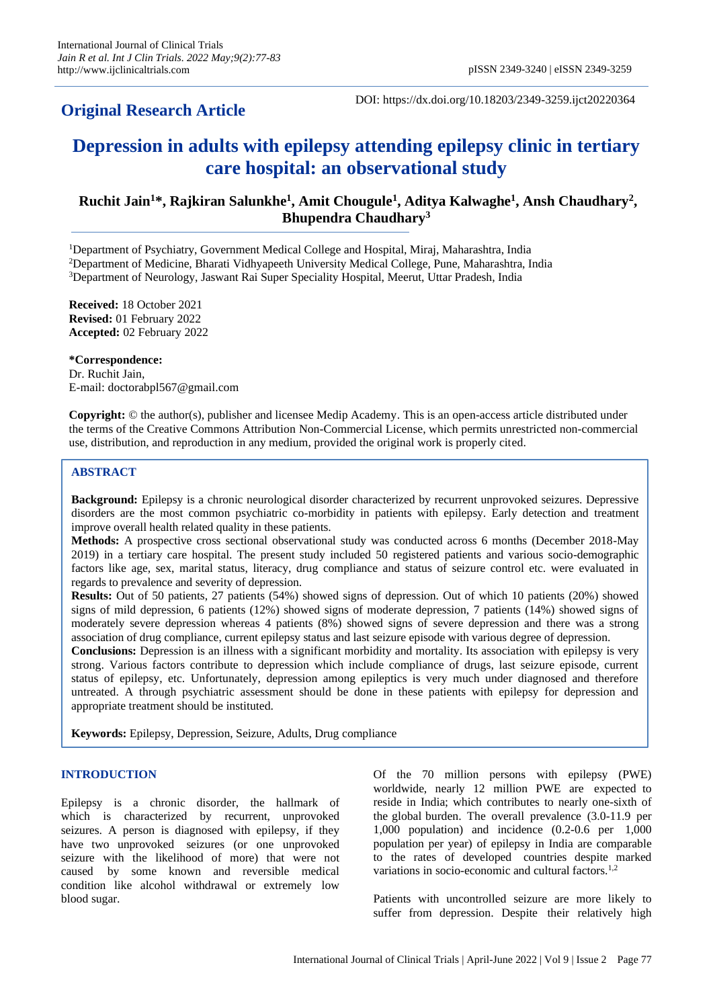# **Original Research Article**

DOI: https://dx.doi.org/10.18203/2349-3259.ijct20220364

# **Depression in adults with epilepsy attending epilepsy clinic in tertiary care hospital: an observational study**

# **Ruchit Jain<sup>1</sup>\*, Rajkiran Salunkhe<sup>1</sup> , Amit Chougule<sup>1</sup> , Aditya Kalwaghe<sup>1</sup> , Ansh Chaudhary<sup>2</sup> , Bhupendra Chaudhary<sup>3</sup>**

<sup>1</sup>Department of Psychiatry, Government Medical College and Hospital, Miraj, Maharashtra, India <sup>2</sup>Department of Medicine, Bharati Vidhyapeeth University Medical College, Pune, Maharashtra, India <sup>3</sup>Department of Neurology, Jaswant Rai Super Speciality Hospital, Meerut, Uttar Pradesh, India

**Received:** 18 October 2021 **Revised:** 01 February 2022 **Accepted:** 02 February 2022

**\*Correspondence:** Dr. Ruchit Jain, E-mail: doctorabpl567@gmail.com

**Copyright:** © the author(s), publisher and licensee Medip Academy. This is an open-access article distributed under the terms of the Creative Commons Attribution Non-Commercial License, which permits unrestricted non-commercial use, distribution, and reproduction in any medium, provided the original work is properly cited.

# **ABSTRACT**

**Background:** Epilepsy is a chronic neurological disorder characterized by recurrent unprovoked seizures. Depressive disorders are the most common psychiatric co-morbidity in patients with epilepsy. Early detection and treatment improve overall health related quality in these patients.

**Methods:** A prospective cross sectional observational study was conducted across 6 months (December 2018-May 2019) in a tertiary care hospital. The present study included 50 registered patients and various socio-demographic factors like age, sex, marital status, literacy, drug compliance and status of seizure control etc. were evaluated in regards to prevalence and severity of depression.

**Results:** Out of 50 patients, 27 patients (54%) showed signs of depression. Out of which 10 patients (20%) showed signs of mild depression, 6 patients (12%) showed signs of moderate depression, 7 patients (14%) showed signs of moderately severe depression whereas 4 patients (8%) showed signs of severe depression and there was a strong association of drug compliance, current epilepsy status and last seizure episode with various degree of depression.

**Conclusions:** Depression is an illness with a significant morbidity and mortality. Its association with epilepsy is very strong. Various factors contribute to depression which include compliance of drugs, last seizure episode, current status of epilepsy, etc. Unfortunately, depression among epileptics is very much under diagnosed and therefore untreated. A through psychiatric assessment should be done in these patients with epilepsy for depression and appropriate treatment should be instituted.

**Keywords:** Epilepsy, Depression, Seizure, Adults, Drug compliance

#### **INTRODUCTION**

Epilepsy is a chronic disorder, the hallmark of which is characterized by recurrent, unprovoked seizures. A person is diagnosed with epilepsy, if they have two unprovoked seizures (or one unprovoked seizure with the likelihood of more) that were not caused by some known and reversible medical condition like alcohol withdrawal or extremely low blood sugar.

Of the 70 million persons with epilepsy (PWE) worldwide, nearly 12 million PWE are expected to reside in India; which contributes to nearly one-sixth of the global burden. The overall prevalence (3.0-11.9 per 1,000 population) and incidence (0.2-0.6 per 1,000 population per year) of epilepsy in India are comparable to the rates of developed countries despite marked variations in socio-economic and cultural factors.<sup>1,2</sup>

Patients with uncontrolled seizure are more likely to suffer from depression. Despite their relatively high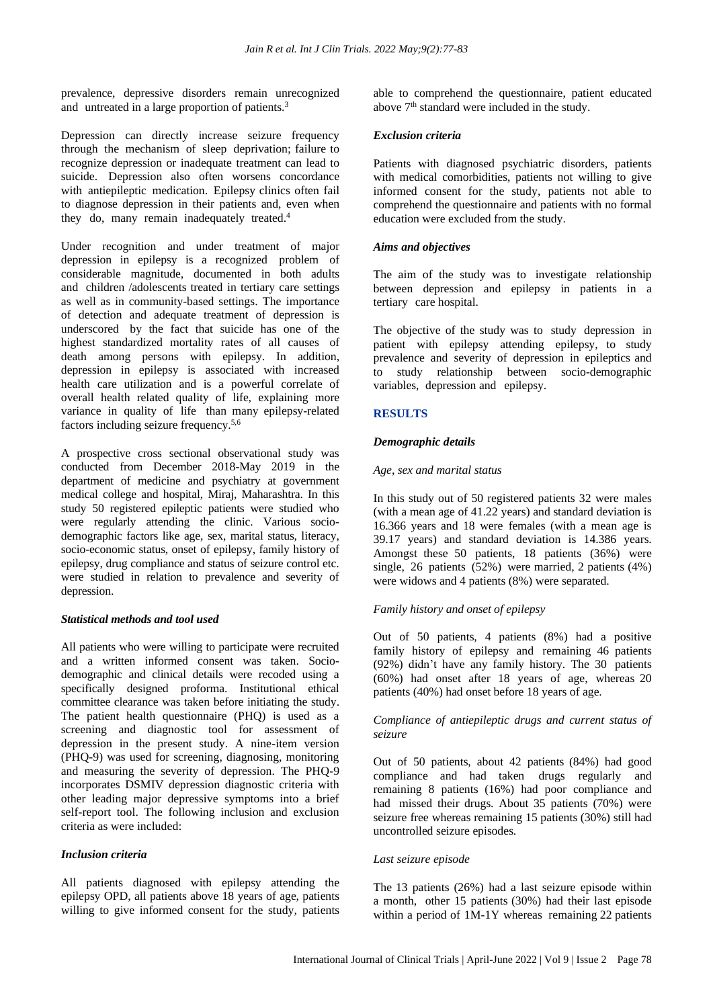prevalence, depressive disorders remain unrecognized and untreated in a large proportion of patients.<sup>3</sup>

Depression can directly increase seizure frequency through the mechanism of sleep deprivation; failure to recognize depression or inadequate treatment can lead to suicide. Depression also often worsens concordance with antiepileptic medication. Epilepsy clinics often fail to diagnose depression in their patients and, even when they do, many remain inadequately treated.<sup>4</sup>

Under recognition and under treatment of major depression in epilepsy is a recognized problem of considerable magnitude, documented in both adults and children /adolescents treated in tertiary care settings as well as in community-based settings. The importance of detection and adequate treatment of depression is underscored by the fact that suicide has one of the highest standardized mortality rates of all causes of death among persons with epilepsy. In addition, depression in epilepsy is associated with increased health care utilization and is a powerful correlate of overall health related quality of life, explaining more variance in quality of life than many epilepsy-related factors including seizure frequency.5,6

A prospective cross sectional observational study was conducted from December 2018-May 2019 in the department of medicine and psychiatry at government medical college and hospital, Miraj, Maharashtra. In this study 50 registered epileptic patients were studied who were regularly attending the clinic. Various sociodemographic factors like age, sex, marital status, literacy, socio-economic status, onset of epilepsy, family history of epilepsy, drug compliance and status of seizure control etc. were studied in relation to prevalence and severity of depression.

## *Statistical methods and tool used*

All patients who were willing to participate were recruited and a written informed consent was taken. Sociodemographic and clinical details were recoded using a specifically designed proforma. Institutional ethical committee clearance was taken before initiating the study. The patient health questionnaire (PHQ) is used as a screening and diagnostic tool for assessment of depression in the present study. A nine-item version (PHQ-9) was used for screening, diagnosing, monitoring and measuring the severity of depression. The PHQ-9 incorporates DSMIV depression diagnostic criteria with other leading major depressive symptoms into a brief self-report tool. The following inclusion and exclusion criteria as were included:

#### *Inclusion criteria*

All patients diagnosed with epilepsy attending the epilepsy OPD, all patients above 18 years of age, patients willing to give informed consent for the study, patients able to comprehend the questionnaire, patient educated above 7<sup>th</sup> standard were included in the study.

# *Exclusion criteria*

Patients with diagnosed psychiatric disorders, patients with medical comorbidities, patients not willing to give informed consent for the study, patients not able to comprehend the questionnaire and patients with no formal education were excluded from the study.

# *Aims and objectives*

The aim of the study was to investigate relationship between depression and epilepsy in patients in a tertiary care hospital.

The objective of the study was to study depression in patient with epilepsy attending epilepsy, to study prevalence and severity of depression in epileptics and to study relationship between socio-demographic variables, depression and epilepsy.

# **RESULTS**

# *Demographic details*

# *Age, sex and marital status*

In this study out of 50 registered patients 32 were males (with a mean age of 41.22 years) and standard deviation is 16.366 years and 18 were females (with a mean age is 39.17 years) and standard deviation is 14.386 years. Amongst these 50 patients, 18 patients (36%) were single, 26 patients (52%) were married, 2 patients (4%) were widows and 4 patients (8%) were separated.

# *Family history and onset of epilepsy*

Out of 50 patients, 4 patients (8%) had a positive family history of epilepsy and remaining 46 patients (92%) didn't have any family history. The 30 patients (60%) had onset after 18 years of age, whereas 20 patients (40%) had onset before 18 years of age.

# *Compliance of antiepileptic drugs and current status of seizure*

Out of 50 patients, about 42 patients (84%) had good compliance and had taken drugs regularly and remaining 8 patients (16%) had poor compliance and had missed their drugs. About 35 patients (70%) were seizure free whereas remaining 15 patients (30%) still had uncontrolled seizure episodes.

#### *Last seizure episode*

The 13 patients (26%) had a last seizure episode within a month, other 15 patients (30%) had their last episode within a period of 1M-1Y whereas remaining 22 patients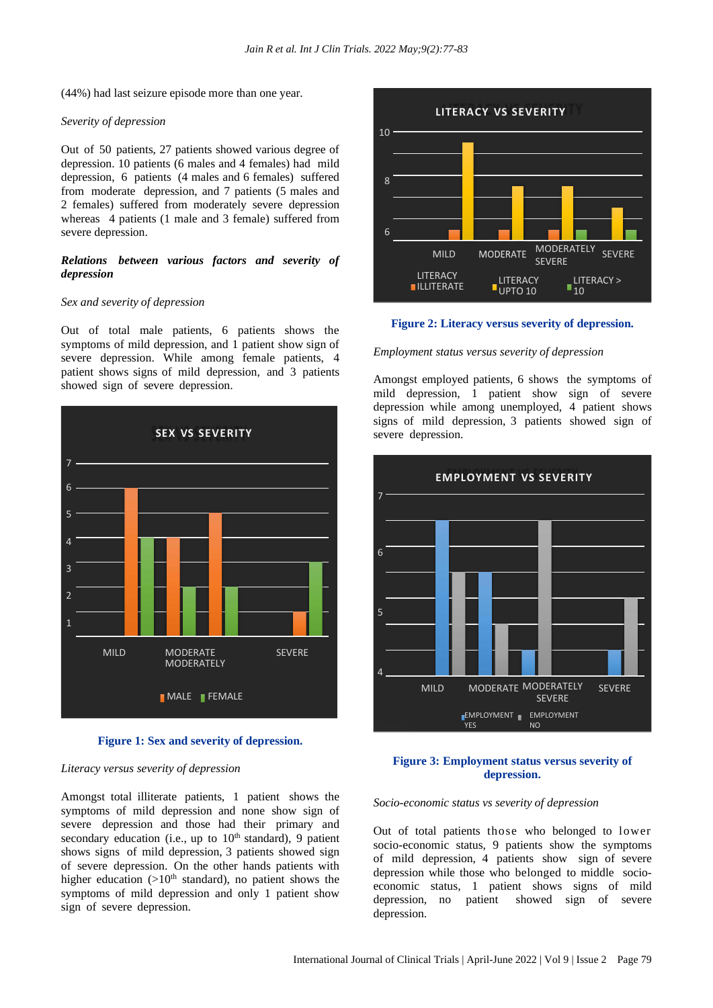(44%) had last seizure episode more than one year.

#### *Severity of depression*

Out of 50 patients, 27 patients showed various degree of depression. 10 patients (6 males and 4 females) had mild depression, 6 patients (4 males and 6 females) suffered from moderate depression, and 7 patients (5 males and 2 females) suffered from moderately severe depression whereas 4 patients (1 male and 3 female) suffered from severe depression.

# *Relations between various factors and severity of depression*

#### *Sex and severity of depression*

Out of total male patients, 6 patients shows the symptoms of mild depression, and 1 patient show sign of severe depression. While among female patients, 4 patient shows signs of mild depression, and 3 patients showed sign of severe depression.



**Figure 1: Sex and severity of depression.**

#### *Literacy versus severity of depression*

Amongst total illiterate patients, 1 patient shows the symptoms of mild depression and none show sign of severe depression and those had their primary and secondary education (i.e., up to  $10<sup>th</sup>$  standard), 9 patient shows signs of mild depression, 3 patients showed sign of severe depression. On the other hands patients with higher education  $(>10<sup>th</sup> standard)$ , no patient shows the symptoms of mild depression and only 1 patient show sign of severe depression.



**Figure 2: Literacy versus severity of depression.** E  $\mathbf{r}$ 

#### *Employment status versus severity of depression*

Amongst employed patients, 6 shows the symptoms of E mild depression, 1 patient show sign of severe depression while among unemployed, 4 patient shows E signs of mild depression, 3 patients showed sign of severe depression.



# **Figure 3: Employment status versus severity of depression.**

#### *Socio-economic status vs severity of depression*

Out of total patients those who belonged to lower socio-economic status, 9 patients show the symptoms of mild depression, 4 patients show sign of severe depression while those who belonged to middle socioeconomic status, 1 patient shows signs of mild depression, no patient showed sign of severe depression.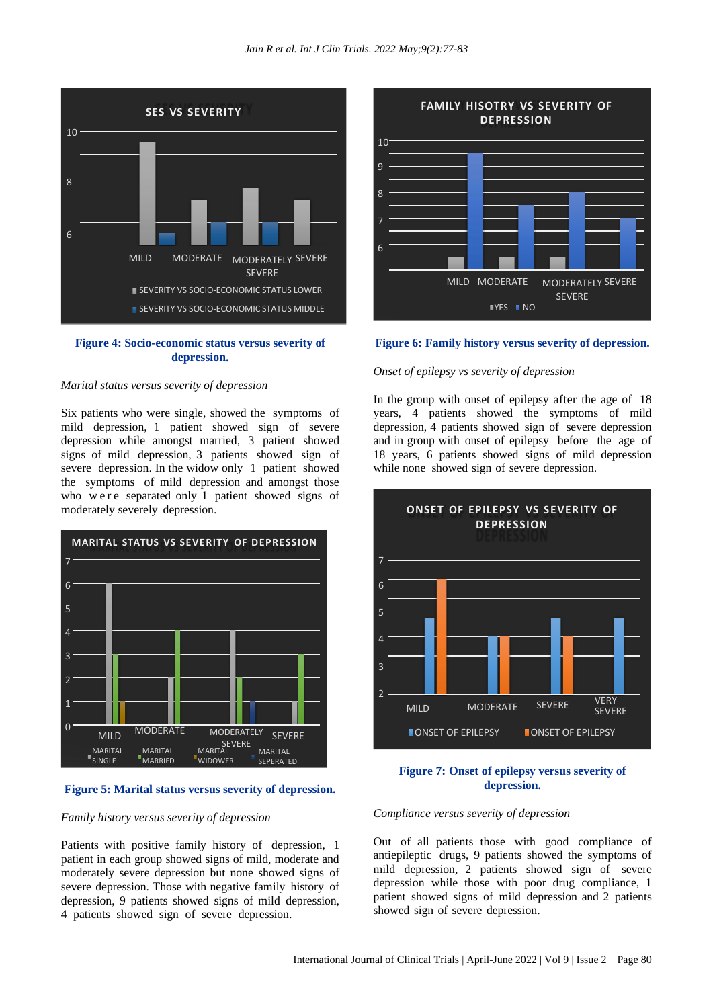

# **Figure 4: Socio-economic status versus severity of depression.**

#### *Marital status versus severity of depression*

Six patients who were single, showed the symptoms of mild depression, 1 patient showed sign of severe depression while amongst married, 3 patient showed signs of mild depression, 3 patients showed sign of severe depression. In the widow only 1 patient showed the symptoms of mild depression and amongst those who were separated only 1 patient showed signs of moderately severely depression.



# **Figure 5: Marital status versus severity of depression.**

# *Family history versus severity of depression*

Patients with positive family history of depression, 1 patient in each group showed signs of mild, moderate and moderately severe depression but none showed signs of severe depression. Those with negative family history of depression, 9 patients showed signs of mild depression, 4 patients showed sign of severe depression.



#### **Figure 6: Family history versus severity of depression.**

# *Onset of epilepsy vs severity of depression*

In the group with onset of epilepsy after the age of 18 years, 4 patients showed the symptoms of mild depression, 4 patients showed sign of severe depression and in group with onset of epilepsy before the age of 18 years, 6 patients showed signs of mild depression while none showed sign of severe depression.



#### **Figure 7: Onset of epilepsy versus severity of depression.**

#### *Compliance versus severity of depression*

Out of all patients those with good compliance of antiepileptic drugs, 9 patients showed the symptoms of mild depression, 2 patients showed sign of severe depression while those with poor drug compliance, 1 patient showed signs of mild depression and 2 patients showed sign of severe depression.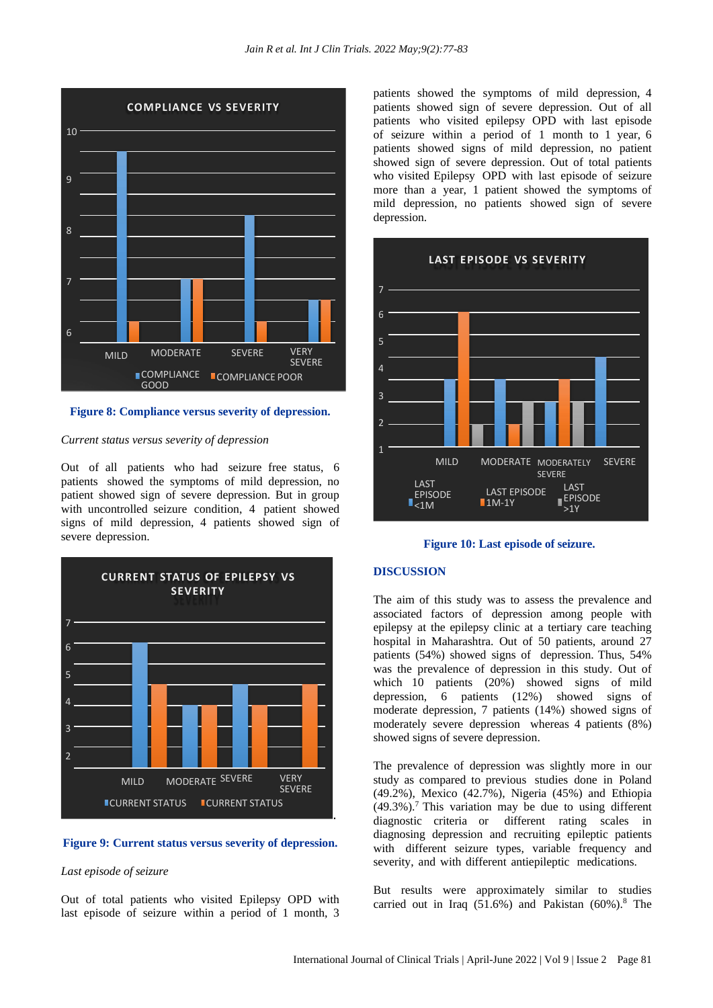

# **Figure 8: Compliance versus severity of depression.**

# *Current status versus severity of depression*

Out of all patients who had seizure free status, 6 patients showed the symptoms of mild depression, no patient showed sign of severe depression. But in group with uncontrolled seizure condition, 4 patient showed signs of mild depression, 4 patients showed sign of severe depression.



# **Figure 9: Current status versus severity of depression.**

# *Last episode of seizure*

Out of total patients who visited Epilepsy OPD with last episode of seizure within a period of 1 month, 3 patients showed the symptoms of mild depression, 4 patients showed sign of severe depression. Out of all patients who visited epilepsy OPD with last episode of seizure within a period of 1 month to 1 year, 6 patients showed signs of mild depression, no patient showed sign of severe depression. Out of total patients who visited Epilepsy OPD with last episode of seizure more than a year, 1 patient showed the symptoms of mild depression, no patients showed sign of severe depression.



#### **Figure 10: Last episode of seizure.**

#### **DISCUSSION**

The aim of this study was to assess the prevalence and associated factors of depression among people with epilepsy at the epilepsy clinic at a tertiary care teaching hospital in Maharashtra. Out of 50 patients, around 27 patients (54%) showed signs of depression. Thus, 54% was the prevalence of depression in this study. Out of which 10 patients (20%) showed signs of mild depression, 6 patients (12%) showed signs of moderate depression, 7 patients (14%) showed signs of moderately severe depression whereas 4 patients (8%) showed signs of severe depression.

The prevalence of depression was slightly more in our study as compared to previous studies done in Poland (49.2%), Mexico (42.7%), Nigeria (45%) and Ethiopia  $(49.3\%)$ .<sup>7</sup> This variation may be due to using different diagnostic criteria or different rating scales in diagnosing depression and recruiting epileptic patients with different seizure types, variable frequency and severity, and with different antiepileptic medications.

But results were approximately similar to studies carried out in Iraq  $(51.6%)$  and Pakistan  $(60%).$ <sup>8</sup> The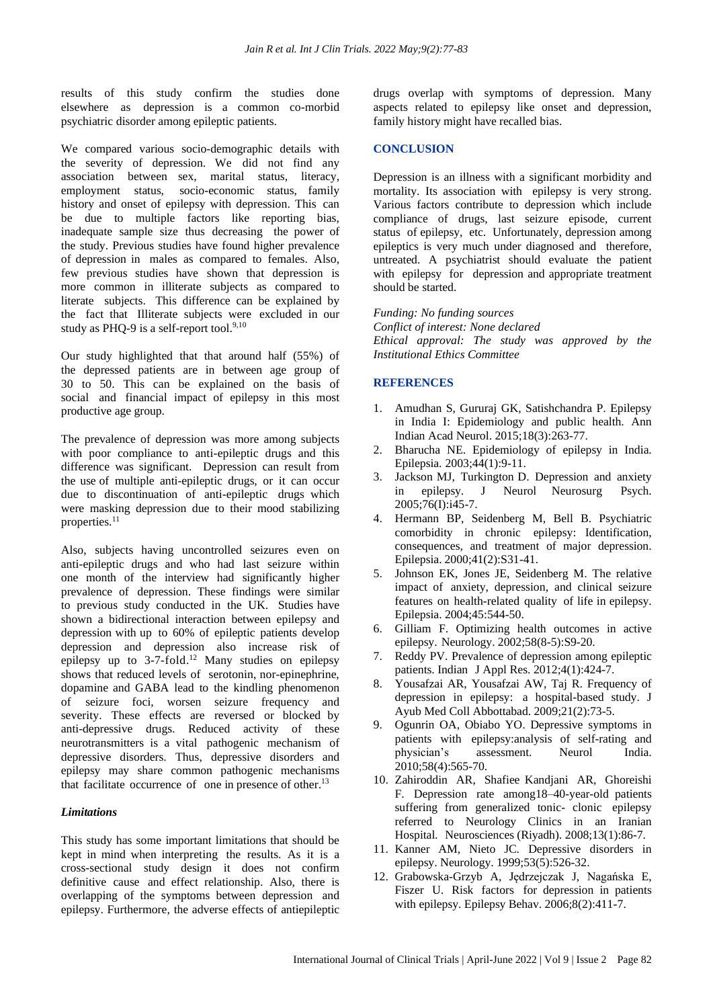results of this study confirm the studies done elsewhere as depression is a common co-morbid psychiatric disorder among epileptic patients.

We compared various socio-demographic details with the severity of depression. We did not find any association between sex, marital status, literacy, employment status, socio-economic status, family history and onset of epilepsy with depression. This can be due to multiple factors like reporting bias, inadequate sample size thus decreasing the power of the study. Previous studies have found higher prevalence of depression in males as compared to females. Also, few previous studies have shown that depression is more common in illiterate subjects as compared to literate subjects. This difference can be explained by the fact that Illiterate subjects were excluded in our study as PHQ-9 is a self-report tool. $9,10$ 

Our study highlighted that that around half (55%) of the depressed patients are in between age group of 30 to 50. This can be explained on the basis of social and financial impact of epilepsy in this most productive age group.

The prevalence of depression was more among subjects with poor compliance to anti-epileptic drugs and this difference was significant. Depression can result from the use of multiple anti-epileptic drugs, or it can occur due to discontinuation of anti-epileptic drugs which were masking depression due to their mood stabilizing properties.<sup>11</sup>

Also, subjects having uncontrolled seizures even on anti-epileptic drugs and who had last seizure within one month of the interview had significantly higher prevalence of depression. These findings were similar to previous study conducted in the UK. Studies have shown a bidirectional interaction between epilepsy and depression with up to 60% of epileptic patients develop depression and depression also increase risk of epilepsy up to 3-7-fold. <sup>12</sup> Many studies on epilepsy shows that reduced levels of serotonin, nor-epinephrine, dopamine and GABA lead to the kindling phenomenon of seizure foci, worsen seizure frequency and severity. These effects are reversed or blocked by anti-depressive drugs. Reduced activity of these neurotransmitters is a vital pathogenic mechanism of depressive disorders. Thus, depressive disorders and epilepsy may share common pathogenic mechanisms that facilitate occurrence of one in presence of other.<sup>13</sup>

#### *Limitations*

This study has some important limitations that should be kept in mind when interpreting the results. As it is a cross-sectional study design it does not confirm definitive cause and effect relationship. Also, there is overlapping of the symptoms between depression and epilepsy. Furthermore, the adverse effects of antiepileptic drugs overlap with symptoms of depression. Many aspects related to epilepsy like onset and depression, family history might have recalled bias.

# **CONCLUSION**

Depression is an illness with a significant morbidity and mortality. Its association with epilepsy is very strong. Various factors contribute to depression which include compliance of drugs, last seizure episode, current status of epilepsy, etc. Unfortunately, depression among epileptics is very much under diagnosed and therefore, untreated. A psychiatrist should evaluate the patient with epilepsy for depression and appropriate treatment should be started.

*Funding: No funding sources Conflict of interest: None declared Ethical approval: The study was approved by the Institutional Ethics Committee*

# **REFERENCES**

- 1. Amudhan S, Gururaj GK, Satishchandra P. Epilepsy in India I: Epidemiology and public health. Ann Indian Acad Neurol. 2015;18(3):263-77.
- 2. Bharucha NE. Epidemiology of epilepsy in India. Epilepsia. 2003;44(1):9-11.
- 3. Jackson MJ, Turkington D. Depression and anxiety in epilepsy. J Neurol Neurosurg Psych. 2005;76(I):i45-7.
- 4. Hermann BP, Seidenberg M, Bell B. Psychiatric comorbidity in chronic epilepsy: Identification, consequences, and treatment of major depression. Epilepsia. 2000;41(2):S31-41.
- 5. Johnson EK, Jones JE, Seidenberg M. The relative impact of anxiety, depression, and clinical seizure features on health-related quality of life in epilepsy. Epilepsia. 2004;45:544-50.
- 6. Gilliam F. Optimizing health outcomes in active epilepsy. Neurology. 2002;58(8-5):S9-20.
- 7. Reddy PV. Prevalence of depression among epileptic patients. Indian J Appl Res. 2012;4(1):424-7.
- 8. Yousafzai AR, Yousafzai AW, Taj R. Frequency of depression in epilepsy: a hospital-based study. J Ayub Med Coll Abbottabad. 2009;21(2):73-5.
- 9. Ogunrin OA, Obiabo YO. Depressive symptoms in patients with epilepsy:analysis of self-rating and physician's assessment. Neurol India. 2010;58(4):565-70.
- 10. Zahiroddin AR, Shafiee Kandjani AR, Ghoreishi F. Depression rate among18–40-year-old patients suffering from generalized tonic- clonic epilepsy referred to Neurology Clinics in an Iranian Hospital. Neurosciences (Riyadh). 2008;13(1):86-7.
- 11. Kanner AM, Nieto JC. Depressive disorders in epilepsy. Neurology. 1999;53(5):526-32.
- 12. Grabowska-Grzyb A, Jędrzejczak J, Nagańska E, Fiszer U. Risk factors for depression in patients with epilepsy. Epilepsy Behav. 2006;8(2):411-7.